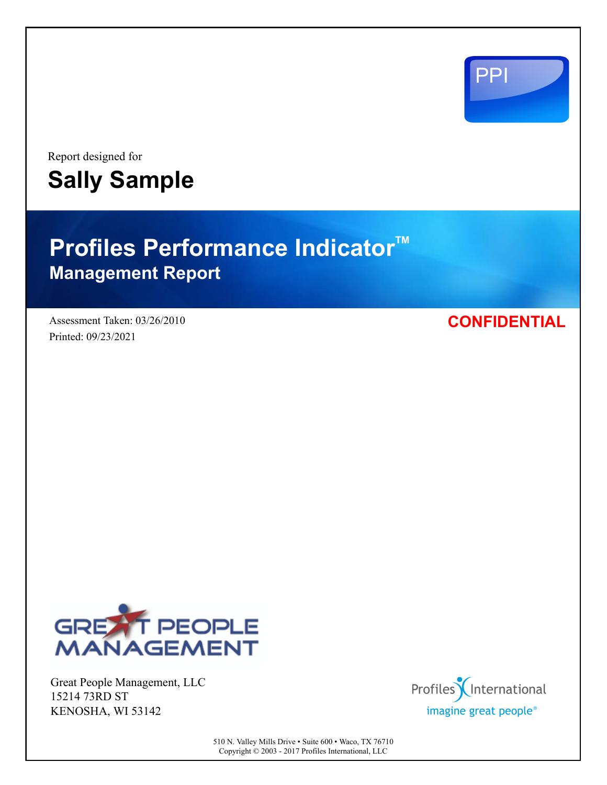

Report designed for **Sally Sample**

# **Profiles Performance Indicator<sup>™</sup> Management Report**

Assessment Taken: 03/26/2010 Printed: 09/23/2021

**CONFIDENTIAL**



Great People Management, LLC 15214 73RD ST KENOSHA, WI 53142



510 N. Valley Mills Drive • Suite 600 • Waco, TX 76710 Copyright © 2003 - 2017 Profiles International, LLC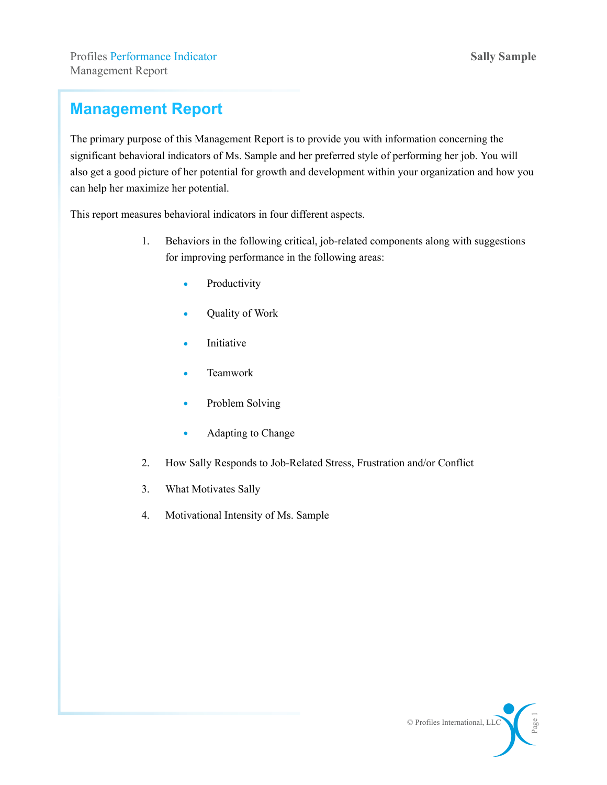### **Management Report**

The primary purpose of this Management Report is to provide you with information concerning the significant behavioral indicators of Ms. Sample and her preferred style of performing her job. You will also get a good picture of her potential for growth and development within your organization and how you can help her maximize her potential.

This report measures behavioral indicators in four different aspects.

- 1. Behaviors in the following critical, job-related components along with suggestions for improving performance in the following areas:
	- Productivity
	- Quality of Work
	- Initiative
	- Teamwork
	- Problem Solving
	- Adapting to Change
- 2. How Sally Responds to Job-Related Stress, Frustration and/or Conflict
- 3. What Motivates Sally
- 4. Motivational Intensity of Ms. Sample

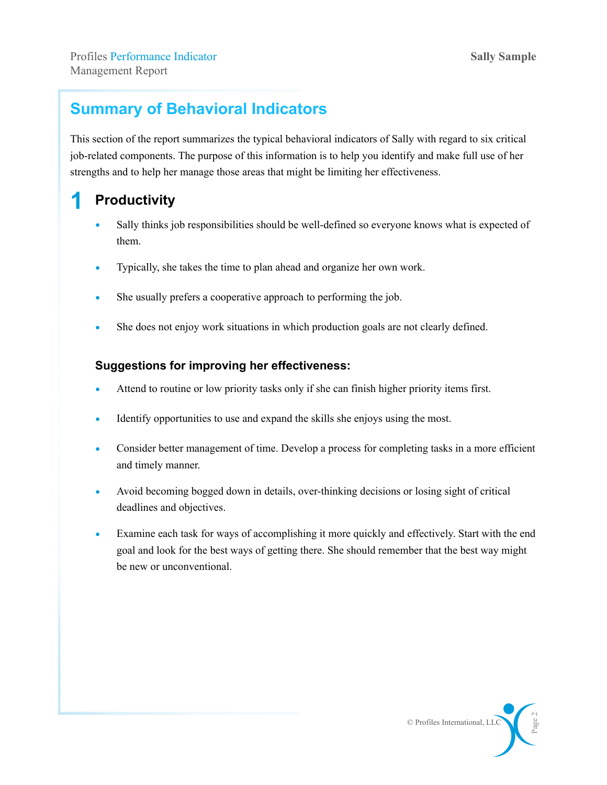### **Summary of Behavioral Indicators**

This section of the report summarizes the typical behavioral indicators of Sally with regard to six critical job-related components. The purpose of this information is to help you identify and make full use of her strengths and to help her manage those areas that might be limiting her effectiveness.

### **1 Productivity**

- Sally thinks job responsibilities should be well-defined so everyone knows what is expected of them.
- Typically, she takes the time to plan ahead and organize her own work.
- She usually prefers a cooperative approach to performing the job.
- She does not enjoy work situations in which production goals are not clearly defined.

- Attend to routine or low priority tasks only if she can finish higher priority items first.
- Identify opportunities to use and expand the skills she enjoys using the most.
- Consider better management of time. Develop a process for completing tasks in a more efficient and timely manner.
- Avoid becoming bogged down in details, over-thinking decisions or losing sight of critical deadlines and objectives.
- Examine each task for ways of accomplishing it more quickly and effectively. Start with the end goal and look for the best ways of getting there. She should remember that the best way might be new or unconventional.

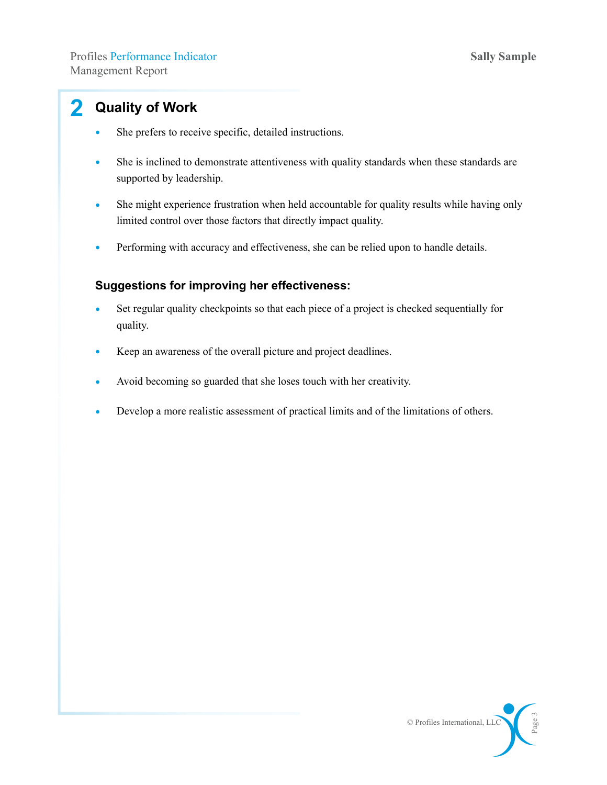### **2 Quality of Work**

- She prefers to receive specific, detailed instructions.
- She is inclined to demonstrate attentiveness with quality standards when these standards are supported by leadership.
- She might experience frustration when held accountable for quality results while having only limited control over those factors that directly impact quality.
- Performing with accuracy and effectiveness, she can be relied upon to handle details.

- Set regular quality checkpoints so that each piece of a project is checked sequentially for quality.
- Keep an awareness of the overall picture and project deadlines.
- Avoid becoming so guarded that she loses touch with her creativity.
- Develop a more realistic assessment of practical limits and of the limitations of others.

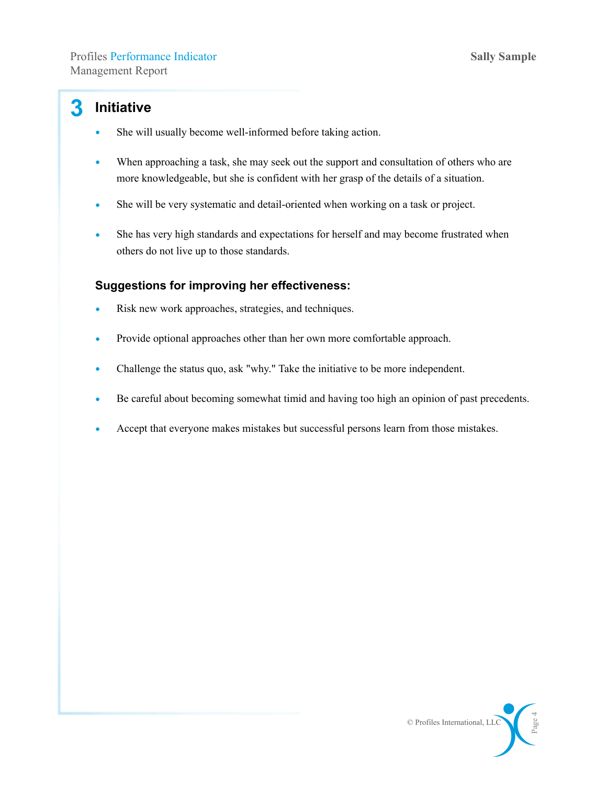### **3 Initiative**

- She will usually become well-informed before taking action.
- When approaching a task, she may seek out the support and consultation of others who are more knowledgeable, but she is confident with her grasp of the details of a situation.
- She will be very systematic and detail-oriented when working on a task or project.
- She has very high standards and expectations for herself and may become frustrated when others do not live up to those standards.

- Risk new work approaches, strategies, and techniques.
- Provide optional approaches other than her own more comfortable approach.
- Challenge the status quo, ask "why." Take the initiative to be more independent.
- Be careful about becoming somewhat timid and having too high an opinion of past precedents.
- Accept that everyone makes mistakes but successful persons learn from those mistakes.

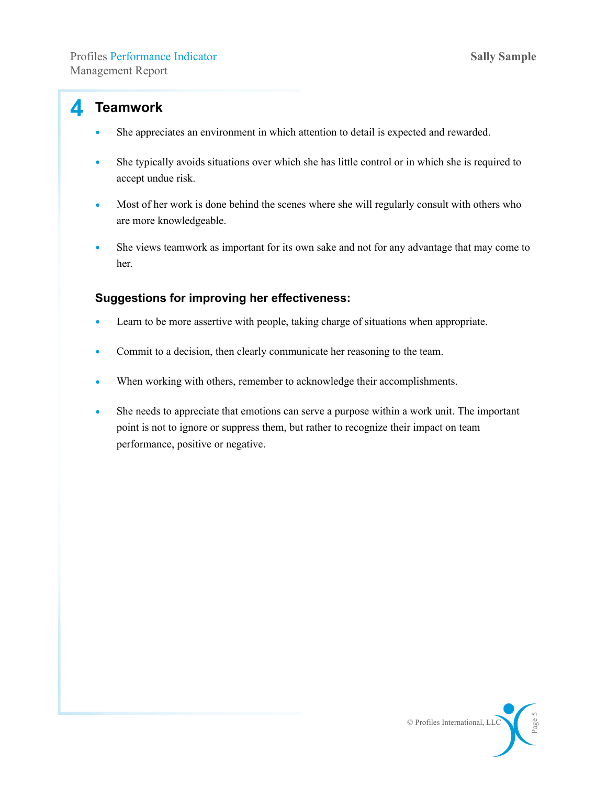#### **4 Teamwork**

- She appreciates an environment in which attention to detail is expected and rewarded.
- She typically avoids situations over which she has little control or in which she is required to accept undue risk.
- Most of her work is done behind the scenes where she will regularly consult with others who are more knowledgeable.
- She views teamwork as important for its own sake and not for any advantage that may come to her.

- Learn to be more assertive with people, taking charge of situations when appropriate.
- Commit to a decision, then clearly communicate her reasoning to the team.
- When working with others, remember to acknowledge their accomplishments.
- She needs to appreciate that emotions can serve a purpose within a work unit. The important point is not to ignore or suppress them, but rather to recognize their impact on team performance, positive or negative.

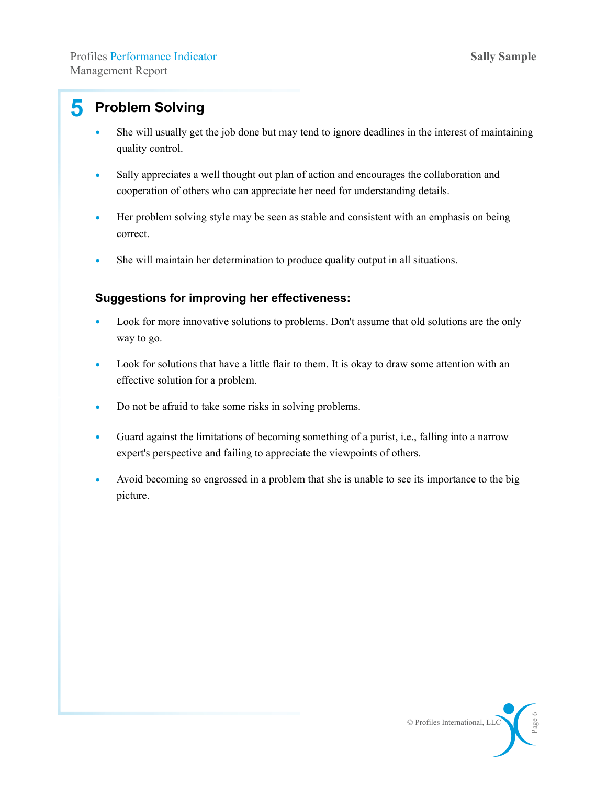### **5 Problem Solving**

- She will usually get the job done but may tend to ignore deadlines in the interest of maintaining quality control.
- Sally appreciates a well thought out plan of action and encourages the collaboration and cooperation of others who can appreciate her need for understanding details.
- Her problem solving style may be seen as stable and consistent with an emphasis on being correct.
- She will maintain her determination to produce quality output in all situations.

- Look for more innovative solutions to problems. Don't assume that old solutions are the only way to go.
- Look for solutions that have a little flair to them. It is okay to draw some attention with an effective solution for a problem.
- Do not be afraid to take some risks in solving problems.
- Guard against the limitations of becoming something of a purist, i.e., falling into a narrow expert's perspective and failing to appreciate the viewpoints of others.
- Avoid becoming so engrossed in a problem that she is unable to see its importance to the big picture.

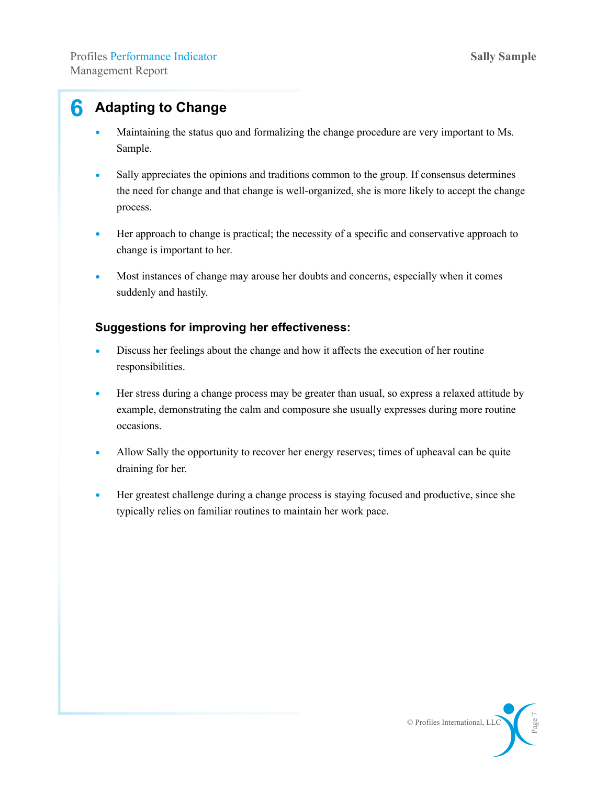### **6 Adapting to Change**

- Maintaining the status quo and formalizing the change procedure are very important to Ms. Sample.
- Sally appreciates the opinions and traditions common to the group. If consensus determines the need for change and that change is well-organized, she is more likely to accept the change process.
- Her approach to change is practical; the necessity of a specific and conservative approach to change is important to her.
- Most instances of change may arouse her doubts and concerns, especially when it comes suddenly and hastily.

- Discuss her feelings about the change and how it affects the execution of her routine responsibilities.
- Her stress during a change process may be greater than usual, so express a relaxed attitude by example, demonstrating the calm and composure she usually expresses during more routine occasions.
- Allow Sally the opportunity to recover her energy reserves; times of upheaval can be quite draining for her.
- Her greatest challenge during a change process is staying focused and productive, since she typically relies on familiar routines to maintain her work pace.

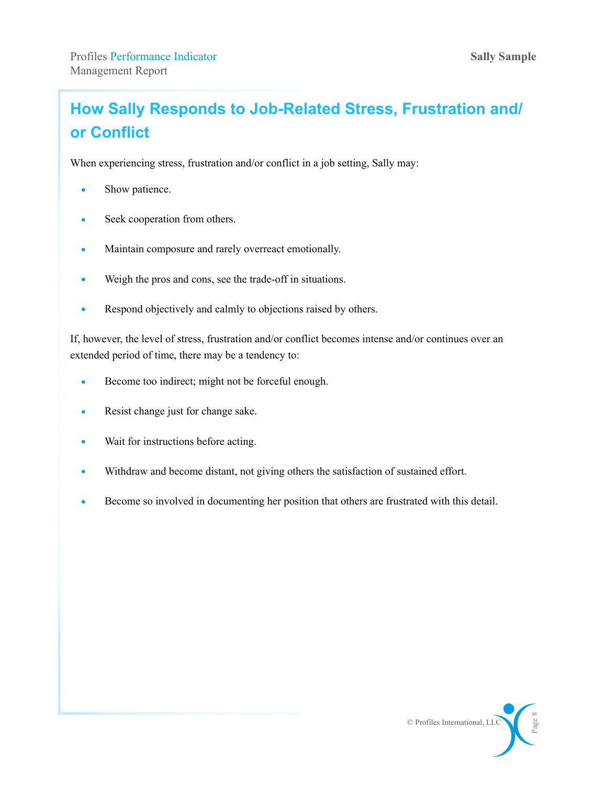## **How Sally Responds to Job-Related Stress, Frustration and/ or Conflict**

When experiencing stress, frustration and/or conflict in a job setting, Sally may:

- Show patience.
- Seek cooperation from others.
- Maintain composure and rarely overreact emotionally.
- Weigh the pros and cons, see the trade-off in situations.
- Respond objectively and calmly to objections raised by others.

If, however, the level of stress, frustration and/or conflict becomes intense and/or continues over an extended period of time, there may be a tendency to:

- Become too indirect; might not be forceful enough.
- Resist change just for change sake.
- Wait for instructions before acting.
- Withdraw and become distant, not giving others the satisfaction of sustained effort.
- Become so involved in documenting her position that others are frustrated with this detail.

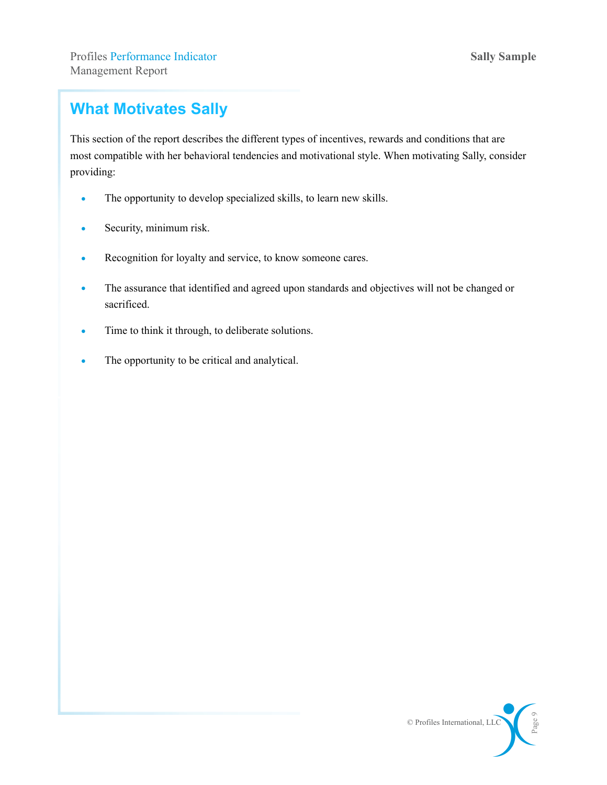### **What Motivates Sally**

This section of the report describes the different types of incentives, rewards and conditions that are most compatible with her behavioral tendencies and motivational style. When motivating Sally, consider providing:

- The opportunity to develop specialized skills, to learn new skills.
- Security, minimum risk.
- Recognition for loyalty and service, to know someone cares.
- The assurance that identified and agreed upon standards and objectives will not be changed or sacrificed.
- Time to think it through, to deliberate solutions.
- The opportunity to be critical and analytical.

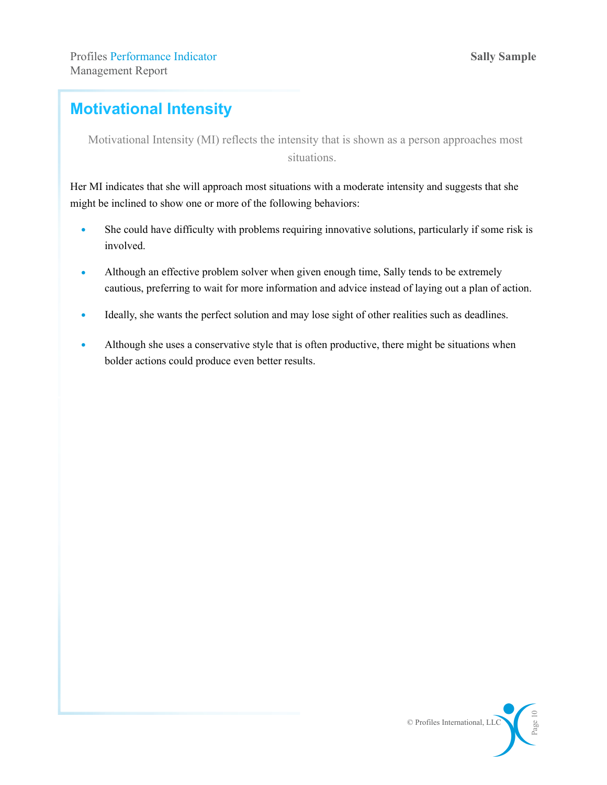### **Motivational Intensity**

Motivational Intensity (MI) reflects the intensity that is shown as a person approaches most situations.

Her MI indicates that she will approach most situations with a moderate intensity and suggests that she might be inclined to show one or more of the following behaviors:

- She could have difficulty with problems requiring innovative solutions, particularly if some risk is involved.
- Although an effective problem solver when given enough time, Sally tends to be extremely cautious, preferring to wait for more information and advice instead of laying out a plan of action.
- Ideally, she wants the perfect solution and may lose sight of other realities such as deadlines.
- Although she uses a conservative style that is often productive, there might be situations when bolder actions could produce even better results.